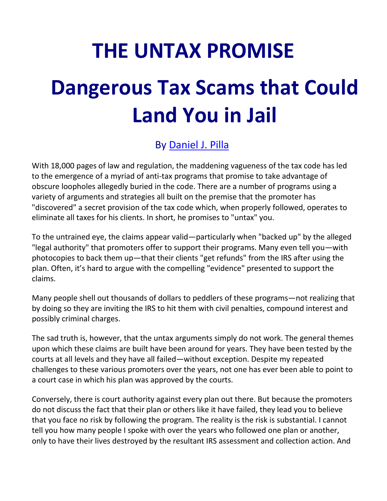## **THE UNTAX PROMISE**

# **Dangerous Tax Scams that Could Land You in Jail**

### By [Daniel J. Pilla](https://taxhelponline.com/)

With 18,000 pages of law and regulation, the maddening vagueness of the tax code has led to the emergence of a myriad of anti-tax programs that promise to take advantage of obscure loopholes allegedly buried in the code. There are a number of programs using a variety of arguments and strategies all built on the premise that the promoter has "discovered" a secret provision of the tax code which, when properly followed, operates to eliminate all taxes for his clients. In short, he promises to "untax" you.

To the untrained eye, the claims appear valid—particularly when "backed up" by the alleged "legal authority" that promoters offer to support their programs. Many even tell you—with photocopies to back them up—that their clients "get refunds" from the IRS after using the plan. Often, it's hard to argue with the compelling "evidence" presented to support the claims.

Many people shell out thousands of dollars to peddlers of these programs—not realizing that by doing so they are inviting the IRS to hit them with civil penalties, compound interest and possibly criminal charges.

The sad truth is, however, that the untax arguments simply do not work. The general themes upon which these claims are built have been around for years. They have been tested by the courts at all levels and they have all failed—without exception. Despite my repeated challenges to these various promoters over the years, not one has ever been able to point to a court case in which his plan was approved by the courts.

Conversely, there is court authority against every plan out there. But because the promoters do not discuss the fact that their plan or others like it have failed, they lead you to believe that you face no risk by following the program. The reality is the risk is substantial. I cannot tell you how many people I spoke with over the years who followed one plan or another, only to have their lives destroyed by the resultant IRS assessment and collection action. And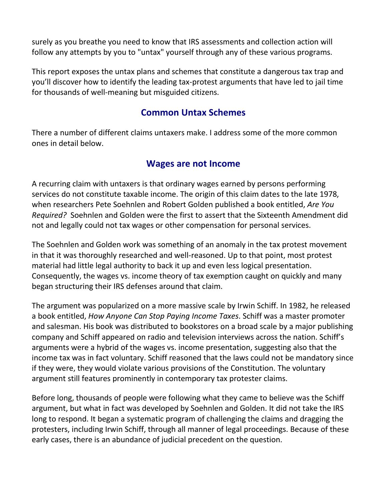surely as you breathe you need to know that IRS assessments and collection action will follow any attempts by you to "untax" yourself through any of these various programs.

This report exposes the untax plans and schemes that constitute a dangerous tax trap and you'll discover how to identify the leading tax-protest arguments that have led to jail time for thousands of well-meaning but misguided citizens.

#### **Common Untax Schemes**

There a number of different claims untaxers make. I address some of the more common ones in detail below.

#### **Wages are not Income**

A recurring claim with untaxers is that ordinary wages earned by persons performing services do not constitute taxable income. The origin of this claim dates to the late 1978, when researchers Pete Soehnlen and Robert Golden published a book entitled, *Are You Required?* Soehnlen and Golden were the first to assert that the Sixteenth Amendment did not and legally could not tax wages or other compensation for personal services.

The Soehnlen and Golden work was something of an anomaly in the tax protest movement in that it was thoroughly researched and well-reasoned. Up to that point, most protest material had little legal authority to back it up and even less logical presentation. Consequently, the wages vs. income theory of tax exemption caught on quickly and many began structuring their IRS defenses around that claim.

The argument was popularized on a more massive scale by Irwin Schiff. In 1982, he released a book entitled, *How Anyone Can Stop Paying Income Taxes*. Schiff was a master promoter and salesman. His book was distributed to bookstores on a broad scale by a major publishing company and Schiff appeared on radio and television interviews across the nation. Schiff's arguments were a hybrid of the wages vs. income presentation, suggesting also that the income tax was in fact voluntary. Schiff reasoned that the laws could not be mandatory since if they were, they would violate various provisions of the Constitution. The voluntary argument still features prominently in contemporary tax protester claims.

Before long, thousands of people were following what they came to believe was the Schiff argument, but what in fact was developed by Soehnlen and Golden. It did not take the IRS long to respond. It began a systematic program of challenging the claims and dragging the protesters, including Irwin Schiff, through all manner of legal proceedings. Because of these early cases, there is an abundance of judicial precedent on the question.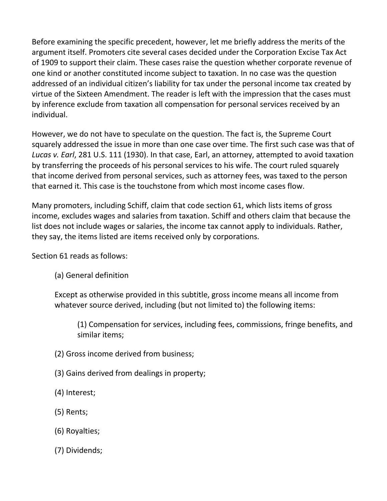Before examining the specific precedent, however, let me briefly address the merits of the argument itself. Promoters cite several cases decided under the Corporation Excise Tax Act of 1909 to support their claim. These cases raise the question whether corporate revenue of one kind or another constituted income subject to taxation. In no case was the question addressed of an individual citizen's liability for tax under the personal income tax created by virtue of the Sixteen Amendment. The reader is left with the impression that the cases must by inference exclude from taxation all compensation for personal services received by an individual.

However, we do not have to speculate on the question. The fact is, the Supreme Court squarely addressed the issue in more than one case over time. The first such case was that of *Lucas v. Earl*, 281 U.S. 111 (1930). In that case, Earl, an attorney, attempted to avoid taxation by transferring the proceeds of his personal services to his wife. The court ruled squarely that income derived from personal services, such as attorney fees, was taxed to the person that earned it. This case is the touchstone from which most income cases flow.

Many promoters, including Schiff, claim that code section 61, which lists items of gross income, excludes wages and salaries from taxation. Schiff and others claim that because the list does not include wages or salaries, the income tax cannot apply to individuals. Rather, they say, the items listed are items received only by corporations.

Section 61 reads as follows:

(a) General definition

Except as otherwise provided in this subtitle, gross income means all income from whatever source derived, including (but not limited to) the following items:

(1) Compensation for services, including fees, commissions, fringe benefits, and similar items;

- (2) Gross income derived from business;
- (3) Gains derived from dealings in property;
- (4) Interest;
- (5) Rents;
- (6) Royalties;
- (7) Dividends;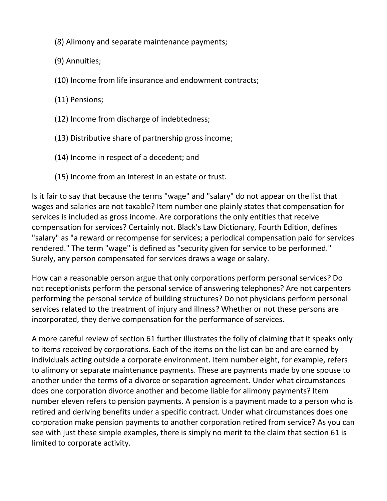- (8) Alimony and separate maintenance payments;
- (9) Annuities;
- (10) Income from life insurance and endowment contracts;
- (11) Pensions;
- (12) Income from discharge of indebtedness;
- (13) Distributive share of partnership gross income;
- (14) Income in respect of a decedent; and
- (15) Income from an interest in an estate or trust.

Is it fair to say that because the terms "wage" and "salary" do not appear on the list that wages and salaries are not taxable? Item number one plainly states that compensation for services is included as gross income. Are corporations the only entities that receive compensation for services? Certainly not. Black's Law Dictionary, Fourth Edition, defines "salary" as "a reward or recompense for services; a periodical compensation paid for services rendered." The term "wage" is defined as "security given for service to be performed." Surely, any person compensated for services draws a wage or salary.

How can a reasonable person argue that only corporations perform personal services? Do not receptionists perform the personal service of answering telephones? Are not carpenters performing the personal service of building structures? Do not physicians perform personal services related to the treatment of injury and illness? Whether or not these persons are incorporated, they derive compensation for the performance of services.

A more careful review of section 61 further illustrates the folly of claiming that it speaks only to items received by corporations. Each of the items on the list can be and are earned by individuals acting outside a corporate environment. Item number eight, for example, refers to alimony or separate maintenance payments. These are payments made by one spouse to another under the terms of a divorce or separation agreement. Under what circumstances does one corporation divorce another and become liable for alimony payments? Item number eleven refers to pension payments. A pension is a payment made to a person who is retired and deriving benefits under a specific contract. Under what circumstances does one corporation make pension payments to another corporation retired from service? As you can see with just these simple examples, there is simply no merit to the claim that section 61 is limited to corporate activity.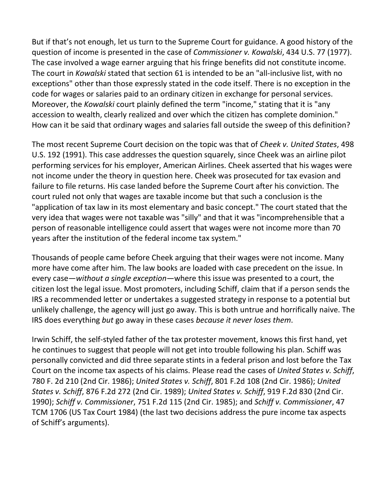But if that's not enough, let us turn to the Supreme Court for guidance. A good history of the question of income is presented in the case of *Commissioner v. Kowalski*, 434 U.S. 77 (1977). The case involved a wage earner arguing that his fringe benefits did not constitute income. The court in *Kowalski* stated that section 61 is intended to be an "all-inclusive list, with no exceptions" other than those expressly stated in the code itself. There is no exception in the code for wages or salaries paid to an ordinary citizen in exchange for personal services. Moreover, the *Kowalski* court plainly defined the term "income," stating that it is "any accession to wealth, clearly realized and over which the citizen has complete dominion." How can it be said that ordinary wages and salaries fall outside the sweep of this definition?

The most recent Supreme Court decision on the topic was that of *Cheek v. United States*, 498 U.S. 192 (1991). This case addresses the question squarely, since Cheek was an airline pilot performing services for his employer, American Airlines. Cheek asserted that his wages were not income under the theory in question here. Cheek was prosecuted for tax evasion and failure to file returns. His case landed before the Supreme Court after his conviction. The court ruled not only that wages are taxable income but that such a conclusion is the "application of tax law in its most elementary and basic concept." The court stated that the very idea that wages were not taxable was "silly" and that it was "incomprehensible that a person of reasonable intelligence could assert that wages were not income more than 70 years after the institution of the federal income tax system."

Thousands of people came before Cheek arguing that their wages were not income. Many more have come after him. The law books are loaded with case precedent on the issue. In every case—*without a single exception—*where this issue was presented to a court, the citizen lost the legal issue. Most promoters, including Schiff, claim that if a person sends the IRS a recommended letter or undertakes a suggested strategy in response to a potential but unlikely challenge, the agency will just go away. This is both untrue and horrifically naive. The IRS does everything *but* go away in these cases *because it never loses them*.

Irwin Schiff, the self-styled father of the tax protester movement, knows this first hand, yet he continues to suggest that people will not get into trouble following his plan. Schiff was personally convicted and did three separate stints in a federal prison and lost before the Tax Court on the income tax aspects of his claims. Please read the cases of *United States v. Schiff*, 780 F. 2d 210 (2nd Cir. 1986); *United States v. Schiff*, 801 F.2d 108 (2nd Cir. 1986); *United States v. Schiff*, 876 F.2d 272 (2nd Cir. 1989); *United States v. Schiff*, 919 F.2d 830 (2nd Cir. 1990); *Schiff v. Commissioner*, 751 F.2d 115 (2nd Cir. 1985); and *Schiff v. Commissioner*, 47 TCM 1706 (US Tax Court 1984) (the last two decisions address the pure income tax aspects of Schiff's arguments).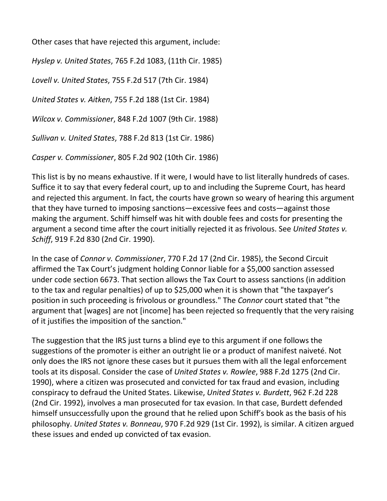Other cases that have rejected this argument, include:

*Hyslep v. United States*, 765 F.2d 1083, (11th Cir. 1985)

*Lovell v. United States*, 755 F.2d 517 (7th Cir. 1984)

*United States v. Aitken*, 755 F.2d 188 (1st Cir. 1984)

*Wilcox v. Commissioner*, 848 F.2d 1007 (9th Cir. 1988)

*Sullivan v. United States*, 788 F.2d 813 (1st Cir. 1986)

*Casper v. Commissioner*, 805 F.2d 902 (10th Cir. 1986)

This list is by no means exhaustive. If it were, I would have to list literally hundreds of cases. Suffice it to say that every federal court, up to and including the Supreme Court, has heard and rejected this argument. In fact, the courts have grown so weary of hearing this argument that they have turned to imposing sanctions—excessive fees and costs—against those making the argument. Schiff himself was hit with double fees and costs for presenting the argument a second time after the court initially rejected it as frivolous. See *United States v. Schiff*, 919 F.2d 830 (2nd Cir. 1990).

In the case of *Connor v. Commissioner*, 770 F.2d 17 (2nd Cir. 1985), the Second Circuit affirmed the Tax Court's judgment holding Connor liable for a \$5,000 sanction assessed under code section 6673. That section allows the Tax Court to assess sanctions (in addition to the tax and regular penalties) of up to \$25,000 when it is shown that "the taxpayer's position in such proceeding is frivolous or groundless." The *Connor* court stated that "the argument that [wages] are not [income] has been rejected so frequently that the very raising of it justifies the imposition of the sanction."

The suggestion that the IRS just turns a blind eye to this argument if one follows the suggestions of the promoter is either an outright lie or a product of manifest naiveté. Not only does the IRS not ignore these cases but it pursues them with all the legal enforcement tools at its disposal. Consider the case of *United States v. Rowlee*, 988 F.2d 1275 (2nd Cir. 1990), where a citizen was prosecuted and convicted for tax fraud and evasion, including conspiracy to defraud the United States. Likewise, *United States v. Burdett*, 962 F.2d 228 (2nd Cir. 1992), involves a man prosecuted for tax evasion. In that case, Burdett defended himself unsuccessfully upon the ground that he relied upon Schiff's book as the basis of his philosophy. *United States v. Bonneau*, 970 F.2d 929 (1st Cir. 1992), is similar. A citizen argued these issues and ended up convicted of tax evasion.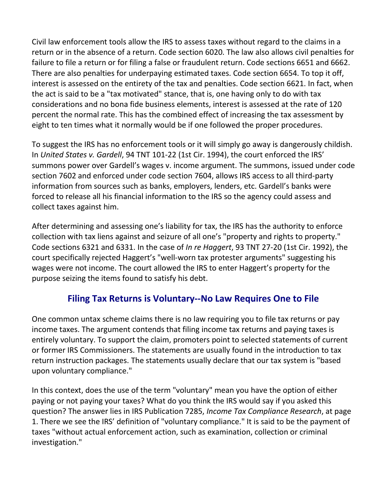Civil law enforcement tools allow the IRS to assess taxes without regard to the claims in a return or in the absence of a return. Code section 6020. The law also allows civil penalties for failure to file a return or for filing a false or fraudulent return. Code sections 6651 and 6662. There are also penalties for underpaying estimated taxes. Code section 6654. To top it off, interest is assessed on the entirety of the tax and penalties. Code section 6621. In fact, when the act is said to be a "tax motivated" stance, that is, one having only to do with tax considerations and no bona fide business elements, interest is assessed at the rate of 120 percent the normal rate. This has the combined effect of increasing the tax assessment by eight to ten times what it normally would be if one followed the proper procedures.

To suggest the IRS has no enforcement tools or it will simply go away is dangerously childish. In *United States v. Gardell*, 94 TNT 101-22 (1st Cir. 1994), the court enforced the IRS' summons power over Gardell's wages v. income argument. The summons, issued under code section 7602 and enforced under code section 7604, allows IRS access to all third-party information from sources such as banks, employers, lenders, etc. Gardell's banks were forced to release all his financial information to the IRS so the agency could assess and collect taxes against him.

After determining and assessing one's liability for tax, the IRS has the authority to enforce collection with tax liens against and seizure of all one's "property and rights to property." Code sections 6321 and 6331. In the case of *In re Haggert*, 93 TNT 27-20 (1st Cir. 1992), the court specifically rejected Haggert's "well-worn tax protester arguments" suggesting his wages were not income. The court allowed the IRS to enter Haggert's property for the purpose seizing the items found to satisfy his debt.

#### **Filing Tax Returns is Voluntary--No Law Requires One to File**

One common untax scheme claims there is no law requiring you to file tax returns or pay income taxes. The argument contends that filing income tax returns and paying taxes is entirely voluntary. To support the claim, promoters point to selected statements of current or former IRS Commissioners. The statements are usually found in the introduction to tax return instruction packages. The statements usually declare that our tax system is "based upon voluntary compliance."

In this context, does the use of the term "voluntary" mean you have the option of either paying or not paying your taxes? What do you think the IRS would say if you asked this question? The answer lies in IRS Publication 7285, *Income Tax Compliance Research*, at page 1. There we see the IRS' definition of "voluntary compliance." It is said to be the payment of taxes "without actual enforcement action, such as examination, collection or criminal investigation."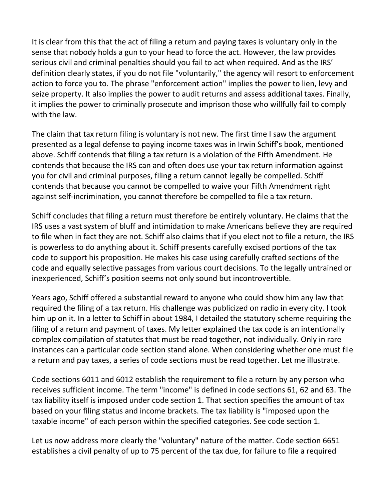It is clear from this that the act of filing a return and paying taxes is voluntary only in the sense that nobody holds a gun to your head to force the act. However, the law provides serious civil and criminal penalties should you fail to act when required. And as the IRS' definition clearly states, if you do not file "voluntarily," the agency will resort to enforcement action to force you to. The phrase "enforcement action" implies the power to lien, levy and seize property. It also implies the power to audit returns and assess additional taxes. Finally, it implies the power to criminally prosecute and imprison those who willfully fail to comply with the law.

The claim that tax return filing is voluntary is not new. The first time I saw the argument presented as a legal defense to paying income taxes was in Irwin Schiff's book, mentioned above. Schiff contends that filing a tax return is a violation of the Fifth Amendment. He contends that because the IRS can and often does use your tax return information against you for civil and criminal purposes, filing a return cannot legally be compelled. Schiff contends that because you cannot be compelled to waive your Fifth Amendment right against self-incrimination, you cannot therefore be compelled to file a tax return.

Schiff concludes that filing a return must therefore be entirely voluntary. He claims that the IRS uses a vast system of bluff and intimidation to make Americans believe they are required to file when in fact they are not. Schiff also claims that if you elect not to file a return, the IRS is powerless to do anything about it. Schiff presents carefully excised portions of the tax code to support his proposition. He makes his case using carefully crafted sections of the code and equally selective passages from various court decisions. To the legally untrained or inexperienced, Schiff's position seems not only sound but incontrovertible.

Years ago, Schiff offered a substantial reward to anyone who could show him any law that required the filing of a tax return. His challenge was publicized on radio in every city. I took him up on it. In a letter to Schiff in about 1984, I detailed the statutory scheme requiring the filing of a return and payment of taxes. My letter explained the tax code is an intentionally complex compilation of statutes that must be read together, not individually. Only in rare instances can a particular code section stand alone. When considering whether one must file a return and pay taxes, a series of code sections must be read together. Let me illustrate.

Code sections 6011 and 6012 establish the requirement to file a return by any person who receives sufficient income. The term "income" is defined in code sections 61, 62 and 63. The tax liability itself is imposed under code section 1. That section specifies the amount of tax based on your filing status and income brackets. The tax liability is "imposed upon the taxable income" of each person within the specified categories. See code section 1.

Let us now address more clearly the "voluntary" nature of the matter. Code section 6651 establishes a civil penalty of up to 75 percent of the tax due, for failure to file a required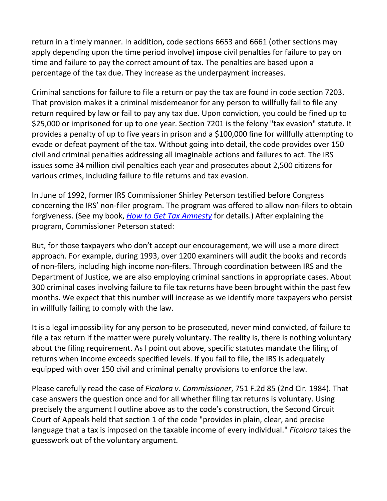return in a timely manner. In addition, code sections 6653 and 6661 (other sections may apply depending upon the time period involve) impose civil penalties for failure to pay on time and failure to pay the correct amount of tax. The penalties are based upon a percentage of the tax due. They increase as the underpayment increases.

Criminal sanctions for failure to file a return or pay the tax are found in code section 7203. That provision makes it a criminal misdemeanor for any person to willfully fail to file any return required by law or fail to pay any tax due. Upon conviction, you could be fined up to \$25,000 or imprisoned for up to one year. Section 7201 is the felony "tax evasion" statute. It provides a penalty of up to five years in prison and a \$100,000 fine for willfully attempting to evade or defeat payment of the tax. Without going into detail, the code provides over 150 civil and criminal penalties addressing all imaginable actions and failures to act. The IRS issues some 34 million civil penalties each year and prosecutes about 2,500 citizens for various crimes, including failure to file returns and tax evasion.

In June of 1992, former IRS Commissioner Shirley Peterson testified before Congress concerning the IRS' non-filer program. The program was offered to allow non-filers to obtain forgiveness. (See my book, *How to Get Tax Amnesty* for details.) After explaining the program, Commissioner Peterson stated:

But, for those taxpayers who don't accept our encouragement, we will use a more direct approach. For example, during 1993, over 1200 examiners will audit the books and records of non-filers, including high income non-filers. Through coordination between IRS and the Department of Justice, we are also employing criminal sanctions in appropriate cases. About 300 criminal cases involving failure to file tax returns have been brought within the past few months. We expect that this number will increase as we identify more taxpayers who persist in willfully failing to comply with the law.

It is a legal impossibility for any person to be prosecuted, never mind convicted, of failure to file a tax return if the matter were purely voluntary. The reality is, there is nothing voluntary about the filing requirement. As I point out above, specific statutes mandate the filing of returns when income exceeds specified levels. If you fail to file, the IRS is adequately equipped with over 150 civil and criminal penalty provisions to enforce the law.

Please carefully read the case of *Ficalora v. Commissioner*, 751 F.2d 85 (2nd Cir. 1984). That case answers the question once and for all whether filing tax returns is voluntary. Using precisely the argument I outline above as to the code's construction, the Second Circuit Court of Appeals held that section 1 of the code "provides in plain, clear, and precise language that a tax is imposed on the taxable income of every individual." *Ficalora* takes the guesswork out of the voluntary argument.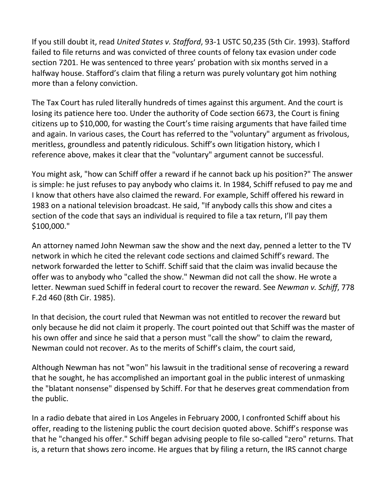If you still doubt it, read *United States v. Stafford*, 93-1 USTC 50,235 (5th Cir. 1993). Stafford failed to file returns and was convicted of three counts of felony tax evasion under code section 7201. He was sentenced to three years' probation with six months served in a halfway house. Stafford's claim that filing a return was purely voluntary got him nothing more than a felony conviction.

The Tax Court has ruled literally hundreds of times against this argument. And the court is losing its patience here too. Under the authority of Code section 6673, the Court is fining citizens up to \$10,000, for wasting the Court's time raising arguments that have failed time and again. In various cases, the Court has referred to the "voluntary" argument as frivolous, meritless, groundless and patently ridiculous. Schiff's own litigation history, which I reference above, makes it clear that the "voluntary" argument cannot be successful.

You might ask, "how can Schiff offer a reward if he cannot back up his position?" The answer is simple: he just refuses to pay anybody who claims it. In 1984, Schiff refused to pay me and I know that others have also claimed the reward. For example, Schiff offered his reward in 1983 on a national television broadcast. He said, "If anybody calls this show and cites a section of the code that says an individual is required to file a tax return, I'll pay them \$100,000."

An attorney named John Newman saw the show and the next day, penned a letter to the TV network in which he cited the relevant code sections and claimed Schiff's reward. The network forwarded the letter to Schiff. Schiff said that the claim was invalid because the offer was to anybody who "called the show." Newman did not call the show. He wrote a letter. Newman sued Schiff in federal court to recover the reward. See *Newman v. Schiff*, 778 F.2d 460 (8th Cir. 1985).

In that decision, the court ruled that Newman was not entitled to recover the reward but only because he did not claim it properly. The court pointed out that Schiff was the master of his own offer and since he said that a person must "call the show" to claim the reward, Newman could not recover. As to the merits of Schiff's claim, the court said,

Although Newman has not "won" his lawsuit in the traditional sense of recovering a reward that he sought, he has accomplished an important goal in the public interest of unmasking the "blatant nonsense" dispensed by Schiff. For that he deserves great commendation from the public.

In a radio debate that aired in Los Angeles in February 2000, I confronted Schiff about his offer, reading to the listening public the court decision quoted above. Schiff's response was that he "changed his offer." Schiff began advising people to file so-called "zero" returns. That is, a return that shows zero income. He argues that by filing a return, the IRS cannot charge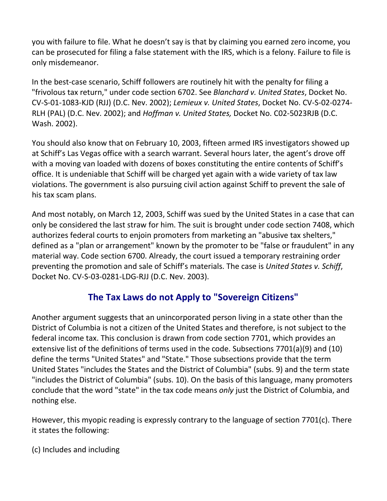you with failure to file. What he doesn't say is that by claiming you earned zero income, you can be prosecuted for filing a false statement with the IRS, which is a felony. Failure to file is only misdemeanor.

In the best-case scenario, Schiff followers are routinely hit with the penalty for filing a "frivolous tax return," under code section 6702. See *Blanchard v. United States*, Docket No. CV-S-01-1083-KJD (RJJ) (D.C. Nev. 2002); *Lemieux v. United States*, Docket No. CV-S-02-0274- RLH (PAL) (D.C. Nev. 2002); and *Hoffman v. United States,* Docket No. C02-5023RJB (D.C. Wash. 2002).

You should also know that on February 10, 2003, fifteen armed IRS investigators showed up at Schiff's Las Vegas office with a search warrant. Several hours later, the agent's drove off with a moving van loaded with dozens of boxes constituting the entire contents of Schiff's office. It is undeniable that Schiff will be charged yet again with a wide variety of tax law violations. The government is also pursuing civil action against Schiff to prevent the sale of his tax scam plans.

And most notably, on March 12, 2003, Schiff was sued by the United States in a case that can only be considered the last straw for him. The suit is brought under code section 7408, which authorizes federal courts to enjoin promoters from marketing an "abusive tax shelters," defined as a "plan or arrangement" known by the promoter to be "false or fraudulent" in any material way. Code section 6700. Already, the court issued a temporary restraining order preventing the promotion and sale of Schiff's materials. The case is *United States v. Schiff*, Docket No. CV-S-03-0281-LDG-RJJ (D.C. Nev. 2003).

#### **The Tax Laws do not Apply to "Sovereign Citizens"**

Another argument suggests that an unincorporated person living in a state other than the District of Columbia is not a citizen of the United States and therefore, is not subject to the federal income tax. This conclusion is drawn from code section 7701, which provides an extensive list of the definitions of terms used in the code. Subsections 7701(a)(9) and (10) define the terms "United States" and "State." Those subsections provide that the term United States "includes the States and the District of Columbia" (subs. 9) and the term state "includes the District of Columbia" (subs. 10). On the basis of this language, many promoters conclude that the word "state" in the tax code means *only* just the District of Columbia, and nothing else.

However, this myopic reading is expressly contrary to the language of section 7701(c). There it states the following:

(c) Includes and including